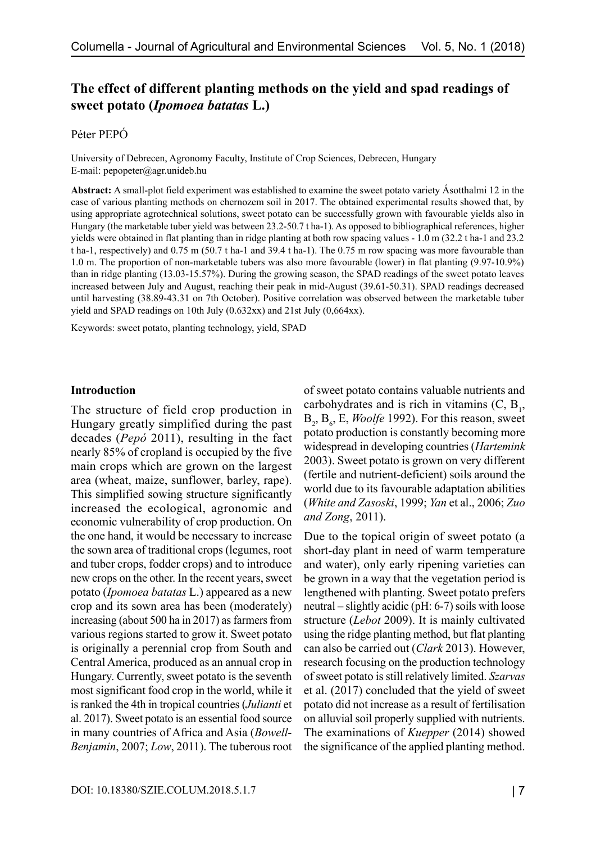# **The effect of different planting methods on the yield and spad readings of sweet potato (***Ipomoea batatas* **L.)**

# Péter PEPÓ

University of Debrecen, Agronomy Faculty, Institute of Crop Sciences, Debrecen, Hungary E-mail: pepopeter@agr.unideb.hu

**Abstract:** A small-plot field experiment was established to examine the sweet potato variety Ásotthalmi 12 in the case of various planting methods on chernozem soil in 2017. The obtained experimental results showed that, by using appropriate agrotechnical solutions, sweet potato can be successfully grown with favourable yields also in Hungary (the marketable tuber yield was between 23.2-50.7 t ha-1). As opposed to bibliographical references, higher yields were obtained in flat planting than in ridge planting at both row spacing values - 1.0 m (32.2 t ha-1 and 23.2 t ha-1, respectively) and 0.75 m (50.7 t ha-1 and 39.4 t ha-1). The 0.75 m row spacing was more favourable than 1.0 m. The proportion of non-marketable tubers was also more favourable (lower) in flat planting (9.97-10.9%) than in ridge planting (13.03-15.57%). During the growing season, the SPAD readings of the sweet potato leaves increased between July and August, reaching their peak in mid-August (39.61-50.31). SPAD readings decreased until harvesting (38.89-43.31 on 7th October). Positive correlation was observed between the marketable tuber yield and SPAD readings on 10th July (0.632xx) and 21st July (0,664xx).

Keywords: sweet potato, planting technology, yield, SPAD

### **Introduction**

The structure of field crop production in Hungary greatly simplified during the past decades (*Pepó* 2011), resulting in the fact nearly 85% of cropland is occupied by the five main crops which are grown on the largest area (wheat, maize, sunflower, barley, rape). This simplified sowing structure significantly increased the ecological, agronomic and economic vulnerability of crop production. On the one hand, it would be necessary to increase the sown area of traditional crops (legumes, root and tuber crops, fodder crops) and to introduce new crops on the other. In the recent years, sweet potato (*Ipomoea batatas* L.) appeared as a new crop and its sown area has been (moderately) increasing (about 500 ha in 2017) as farmers from various regions started to grow it. Sweet potato is originally a perennial crop from South and Central America, produced as an annual crop in Hungary. Currently, sweet potato is the seventh most significant food crop in the world, while it is ranked the 4th in tropical countries (*Julianti* et al. 2017). Sweet potato is an essential food source in many countries of Africa and Asia (*Bowell*-*Benjamin*, 2007; *Low*, 2011). The tuberous root of sweet potato contains valuable nutrients and carbohydrates and is rich in vitamins  $(C, B<sub>1</sub>)$ , B<sub>2</sub>, B<sub>6</sub>, E, *Woolfe* 1992). For this reason, sweet potato production is constantly becoming more widespread in developing countries (*Hartemink* 2003). Sweet potato is grown on very different (fertile and nutrient-deficient) soils around the world due to its favourable adaptation abilities (*White and Zasoski*, 1999; *Yan* et al., 2006; *Zuo and Zong*, 2011).

Due to the topical origin of sweet potato (a short-day plant in need of warm temperature and water), only early ripening varieties can be grown in a way that the vegetation period is lengthened with planting. Sweet potato prefers neutral – slightly acidic (pH: 6-7) soils with loose structure (*Lebot* 2009). It is mainly cultivated using the ridge planting method, but flat planting can also be carried out (*Clark* 2013). However, research focusing on the production technology of sweet potato is still relatively limited. *Szarvas* et al. (2017) concluded that the yield of sweet potato did not increase as a result of fertilisation on alluvial soil properly supplied with nutrients. The examinations of *Kuepper* (2014) showed the significance of the applied planting method.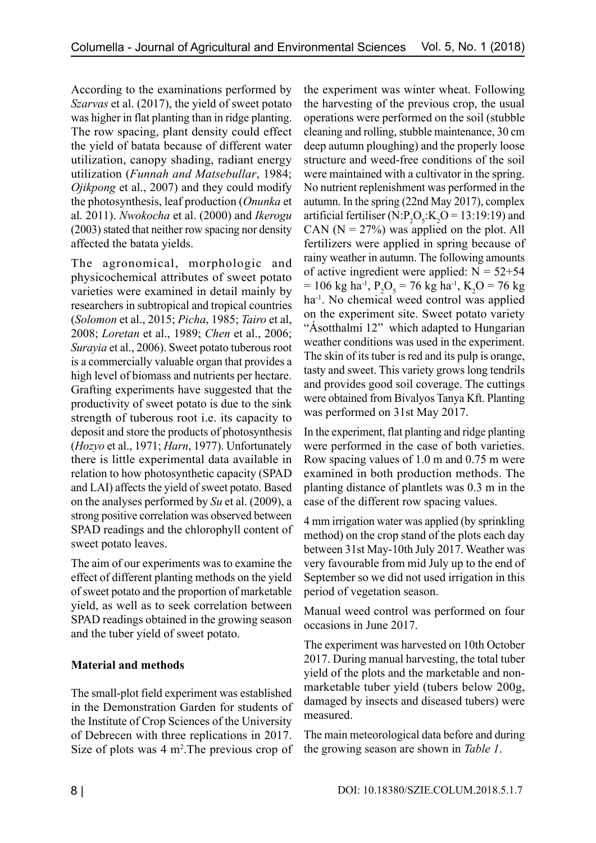According to the examinations performed by *Szarvas* et al. (2017), the yield of sweet potato was higher in flat planting than in ridge planting. The row spacing, plant density could effect the yield of batata because of different water utilization, canopy shading, radiant energy utilization (*Funnah and Matsebullar*, 1984; *Ojikpong* et al., 2007) and they could modify the photosynthesis, leaf production (*Onunka* et al. 2011). *Nwokocha* et al. (2000) and *Ikerogu* (2003) stated that neither row spacing nor density affected the batata yields.

The agronomical, morphologic and physicochemical attributes of sweet potato varieties were examined in detail mainly by researchers in subtropical and tropical countries (*Solomon* et al., 2015; *Picha*, 1985; *Tairo* et al, 2008; *Loretan* et al., 1989; *Chen* et al., 2006; *Surayia* et al., 2006). Sweet potato tuberous root is a commercially valuable organ that provides a high level of biomass and nutrients per hectare. Grafting experiments have suggested that the productivity of sweet potato is due to the sink strength of tuberous root i.e. its capacity to deposit and store the products of photosynthesis (*Hozyo* et al., 1971; *Harn*, 1977). Unfortunately there is little experimental data available in relation to how photosynthetic capacity (SPAD and LAI) affects the yield of sweet potato. Based on the analyses performed by *Su* et al. (2009), a strong positive correlation was observed between SPAD readings and the chlorophyll content of sweet potato leaves.

The aim of our experiments was to examine the effect of different planting methods on the yield of sweet potato and the proportion of marketable yield, as well as to seek correlation between SPAD readings obtained in the growing season and the tuber yield of sweet potato.

# **Material and methods**

The small-plot field experiment was established in the Demonstration Garden for students of the Institute of Crop Sciences of the University of Debrecen with three replications in 2017. Size of plots was 4 m<sup>2</sup>. The previous crop of the experiment was winter wheat. Following the harvesting of the previous crop, the usual operations were performed on the soil (stubble cleaning and rolling, stubble maintenance, 30 cm deep autumn ploughing) and the properly loose structure and weed-free conditions of the soil were maintained with a cultivator in the spring. No nutrient replenishment was performed in the autumn. In the spring (22nd May 2017), complex artificial fertiliser (N: $P_2O_5$ : $K_2O = 13:19:19$ ) and CAN  $(N = 27\%)$  was applied on the plot. All fertilizers were applied in spring because of rainy weather in autumn. The following amounts of active ingredient were applied:  $N = 52+54$  $= 106 \text{ kg} \text{ ha}^1$ ,  $P_2O_5 = 76 \text{ kg} \text{ ha}^1$ ,  $K_2O = 76 \text{ kg}$ ha<sup>-1</sup>. No chemical weed control was applied on the experiment site. Sweet potato variety "Ásotthalmi 12" which adapted to Hungarian weather conditions was used in the experiment. The skin of its tuber is red and its pulp is orange, tasty and sweet. This variety grows long tendrils and provides good soil coverage. The cuttings were obtained from Bivalyos Tanya Kft. Planting was performed on 31st May 2017.

In the experiment, flat planting and ridge planting were performed in the case of both varieties. Row spacing values of 1.0 m and 0.75 m were examined in both production methods. The planting distance of plantlets was 0.3 m in the case of the different row spacing values.

4 mm irrigation water was applied (by sprinkling method) on the crop stand of the plots each day between 31st May-10th July 2017. Weather was very favourable from mid July up to the end of September so we did not used irrigation in this period of vegetation season.

Manual weed control was performed on four occasions in June 2017.

The experiment was harvested on 10th October 2017. During manual harvesting, the total tuber yield of the plots and the marketable and nonmarketable tuber yield (tubers below 200g, damaged by insects and diseased tubers) were measured.

The main meteorological data before and during the growing season are shown in *Table 1*.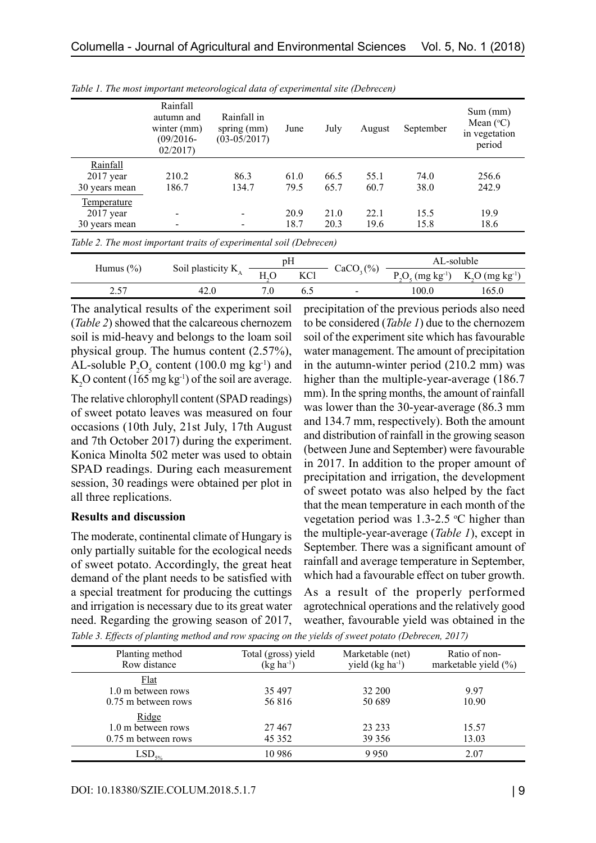|               | Rainfall<br>autumn and<br>winter $(mm)$<br>$(09/2016 -$<br>02/2017 | Rainfall in<br>spring $(mm)$<br>$(03-05/2017)$ | June | July | August | September | Sum(mm)<br>Mean $(^{\circ}C)$<br>in vegetation<br>period |
|---------------|--------------------------------------------------------------------|------------------------------------------------|------|------|--------|-----------|----------------------------------------------------------|
| Rainfall      |                                                                    |                                                |      |      |        |           |                                                          |
| $2017$ year   | 210.2                                                              | 86.3                                           | 61.0 | 66.5 | 55.1   | 74.0      | 256.6                                                    |
| 30 years mean | 186.7                                                              | 134.7                                          | 79.5 | 65.7 | 60.7   | 38.0      | 242.9                                                    |
| Temperature   |                                                                    |                                                |      |      |        |           |                                                          |
| $2017$ year   |                                                                    |                                                | 20.9 | 21.0 | 22.1   | 15.5      | 19.9                                                     |
| 30 years mean |                                                                    |                                                | 18.7 | 20.3 | 19.6   | 15.8      | 18.6                                                     |
| _ _ _ _ _     |                                                                    |                                                | .    |      |        |           |                                                          |

*Table 1. The most important meteorological data of experimental site (Debrecen)*

*Table 2. The most important traits of experimental soil (Debrecen)*

| Humus $(\% )$ |                              | pН |            | (%)   | AL-soluble                        |                              |
|---------------|------------------------------|----|------------|-------|-----------------------------------|------------------------------|
|               | Soil plasticity $K_{\alpha}$ |    | <b>KCl</b> | CaCO, | $P_{Q_{\epsilon}}$<br>$(mg kg-1)$ | $K_2O$ (mg kg <sup>-1)</sup> |
| ר בר          |                              |    |            | -     | 00.0                              | 165.0                        |

The analytical results of the experiment soil (*Table 2*) showed that the calcareous chernozem soil is mid-heavy and belongs to the loam soil physical group. The humus content (2.57%), AL-soluble  $P_2O_5$  content (100.0 mg kg<sup>-1</sup>) and  $K_2$ O content (165 mg kg<sup>-1</sup>) of the soil are average.

The relative chlorophyll content (SPAD readings) of sweet potato leaves was measured on four occasions (10th July, 21st July, 17th August and 7th October 2017) during the experiment. Konica Minolta 502 meter was used to obtain SPAD readings. During each measurement session, 30 readings were obtained per plot in all three replications.

### **Results and discussion**

The moderate, continental climate of Hungary is only partially suitable for the ecological needs of sweet potato. Accordingly, the great heat demand of the plant needs to be satisfied with a special treatment for producing the cuttings and irrigation is necessary due to its great water need. Regarding the growing season of 2017,

precipitation of the previous periods also need to be considered (*Table 1*) due to the chernozem soil of the experiment site which has favourable water management. The amount of precipitation in the autumn-winter period (210.2 mm) was higher than the multiple-year-average (186.7) mm). In the spring months, the amount of rainfall was lower than the 30-year-average (86.3 mm and 134.7 mm, respectively). Both the amount and distribution of rainfall in the growing season (between June and September) were favourable in 2017. In addition to the proper amount of precipitation and irrigation, the development of sweet potato was also helped by the fact that the mean temperature in each month of the vegetation period was  $1.3$ -2.5 °C higher than the multiple-year-average (*Table 1*), except in September. There was a significant amount of rainfall and average temperature in September, which had a favourable effect on tuber growth. As a result of the properly performed agrotechnical operations and the relatively good

weather, favourable yield was obtained in the

*Table 3. Effects of planting method and row spacing on the yields of sweet potato (Debrecen, 2017)*

| Planting method<br>Row distance                     | Total (gross) yield<br>$(kg ha^{-1})$ | Marketable (net)<br>yield $(kg ha-1)$ | Ratio of non-<br>marketable yield (%) |
|-----------------------------------------------------|---------------------------------------|---------------------------------------|---------------------------------------|
| Flat<br>1.0 m between rows<br>$0.75$ m between rows | 35 497<br>56816                       | 32 200<br>50 689                      | 9.97<br>10.90                         |
| Ridge<br>1.0 m between rows<br>0.75 m between rows  | 27467<br>45 3 5 2                     | 23 23 3<br>39 35 6                    | 15.57<br>13.03                        |
| $LSD_{5\%}$                                         | 10 9 86                               | 9950                                  | 2.07                                  |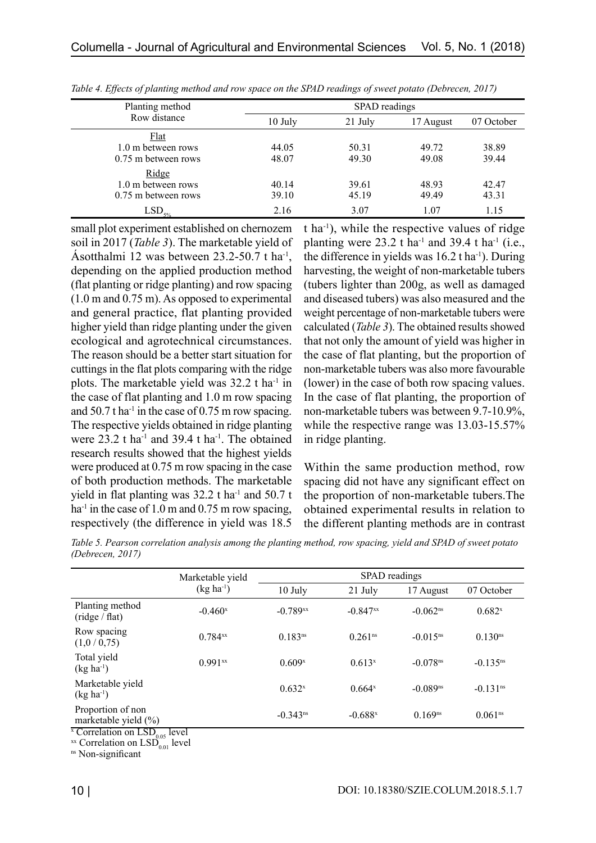| SPAD readings |                        |                        |                        |  |  |
|---------------|------------------------|------------------------|------------------------|--|--|
| 10 July       | 21 July                | 17 August              | 07 October             |  |  |
| 44.05         | 50.31                  | 49.72                  | 38.89<br>39.44         |  |  |
|               |                        |                        | 42.47                  |  |  |
| 39.10         | 45.19                  | 49.49                  | 43.31<br>1.15          |  |  |
|               | 48.07<br>40.14<br>2.16 | 49.30<br>39.61<br>3.07 | 49.08<br>48.93<br>1.07 |  |  |

*Table 4. Effects of planting method and row space on the SPAD readings of sweet potato (Debrecen, 2017)*

small plot experiment established on chernozem soil in 2017 (*Table 3*). The marketable yield of Ásotthalmi 12 was between 23.2-50.7 t ha-1, depending on the applied production method (flat planting or ridge planting) and row spacing (1.0 m and 0.75 m). As opposed to experimental and general practice, flat planting provided higher yield than ridge planting under the given ecological and agrotechnical circumstances. The reason should be a better start situation for cuttings in the flat plots comparing with the ridge plots. The marketable yield was 32.2 t ha-1 in the case of flat planting and 1.0 m row spacing and  $50.7$  t ha<sup>-1</sup> in the case of 0.75 m row spacing. The respective yields obtained in ridge planting were  $23.2$  t ha<sup>-1</sup> and  $39.4$  t ha<sup>-1</sup>. The obtained research results showed that the highest yields were produced at 0.75 m row spacing in the case of both production methods. The marketable yield in flat planting was  $32.2$  t ha<sup>-1</sup> and  $50.7$  t ha<sup>-1</sup> in the case of 1.0 m and 0.75 m row spacing, respectively (the difference in yield was 18.5

t ha-1), while the respective values of ridge planting were  $23.2$  t ha<sup>-1</sup> and  $39.4$  t ha<sup>-1</sup> (i.e., the difference in yields was  $16.2$  t ha<sup>-1</sup>). During harvesting, the weight of non-marketable tubers (tubers lighter than 200g, as well as damaged and diseased tubers) was also measured and the weight percentage of non-marketable tubers were calculated (*Table 3*). The obtained results showed that not only the amount of yield was higher in the case of flat planting, but the proportion of non-marketable tubers was also more favourable (lower) in the case of both row spacing values. In the case of flat planting, the proportion of non-marketable tubers was between 9.7-10.9%, while the respective range was 13.03-15.57% in ridge planting.

Within the same production method, row spacing did not have any significant effect on the proportion of non-marketable tubers.The obtained experimental results in relation to the different planting methods are in contrast

*Table 5. Pearson correlation analysis among the planting method, row spacing, yield and SPAD of sweet potato (Debrecen, 2017)*

|                                                   | Marketable yield | SPAD readings          |                        |                        |                        |  |  |
|---------------------------------------------------|------------------|------------------------|------------------------|------------------------|------------------------|--|--|
|                                                   | $(kg ha^{-1})$   | $10$ July              | 21 July                | 17 August              | 07 October             |  |  |
| Planting method<br>$(\text{ridge} / \text{flat})$ | $-0.460^x$       | $-0.789$ xx            | $-0.847$ <sup>xx</sup> | $-0.062$ <sup>ns</sup> | $0.682^{x}$            |  |  |
| Row spacing<br>(1,0/0,75)                         | $0.784^{xx}$     | $0.183^{ns}$           | 0.261 <sup>ns</sup>    | $-0.015$ <sup>ns</sup> | 0.130 <sup>ns</sup>    |  |  |
| Total yield<br>$(kg ha^{-1})$                     | $0.991^{xx}$     | 0.609 <sup>x</sup>     | $0.613^{x}$            | $-0.078$ <sup>ns</sup> | $-0.135$ <sup>ns</sup> |  |  |
| Marketable yield<br>$(kg ha^{-1})$                |                  | $0.632^{x}$            | $0.664$ <sup>x</sup>   | $-0.089$ <sup>ns</sup> | $-0.131$ <sup>ns</sup> |  |  |
| Proportion of non<br>marketable yield $(\%)$      |                  | $-0.343$ <sup>ns</sup> | $-0.688$ <sup>x</sup>  | $0.169^{ns}$           | 0.061 <sup>ns</sup>    |  |  |

x Correlation on LSD<sub>0.05</sub> level<br>xx Correlation on LSD<sub>0.01</sub> level<br><sup>ns</sup> Non-significant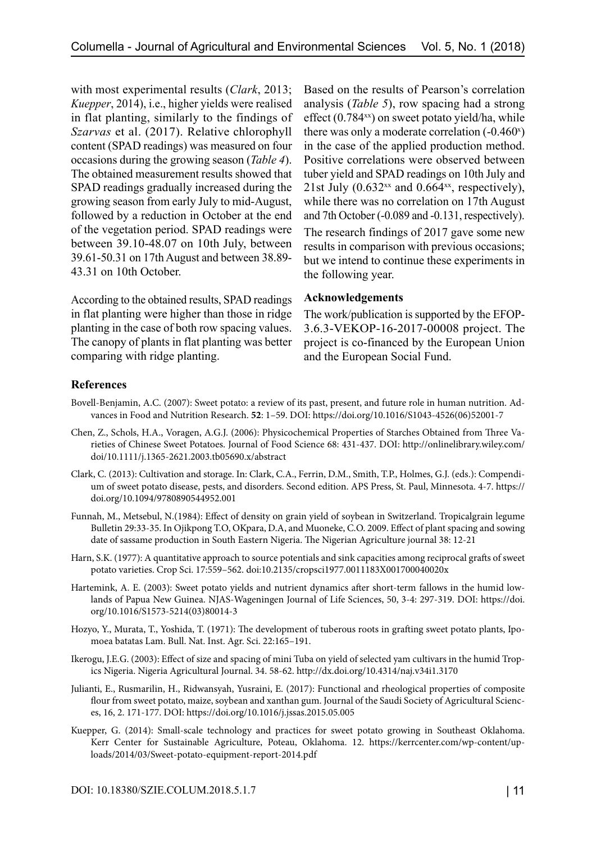with most experimental results (*Clark*, 2013; *Kuepper*, 2014), i.e., higher yields were realised in flat planting, similarly to the findings of *Szarvas* et al. (2017). Relative chlorophyll content (SPAD readings) was measured on four occasions during the growing season (*Table 4*). The obtained measurement results showed that SPAD readings gradually increased during the growing season from early July to mid-August, followed by a reduction in October at the end of the vegetation period. SPAD readings were between 39.10-48.07 on 10th July, between 39.61-50.31 on 17th August and between 38.89- 43.31 on 10th October.

According to the obtained results, SPAD readings in flat planting were higher than those in ridge planting in the case of both row spacing values. The canopy of plants in flat planting was better comparing with ridge planting.

Based on the results of Pearson's correlation analysis (*Table 5*), row spacing had a strong effect  $(0.784^{xx})$  on sweet potato yield/ha, while there was only a moderate correlation  $(-0.460<sup>x</sup>)$ in the case of the applied production method. Positive correlations were observed between tuber yield and SPAD readings on 10th July and 21st July  $(0.632<sup>xx</sup>$  and  $0.664<sup>xx</sup>$ , respectively), while there was no correlation on 17th August and 7th October (-0.089 and -0.131, respectively). The research findings of 2017 gave some new results in comparison with previous occasions; but we intend to continue these experiments in the following year.

# **Acknowledgements**

The work/publication is supported by the EFOP-3.6.3-VEKOP-16-2017-00008 project. The project is co-financed by the European Union and the European Social Fund.

# **References**

- Bovell-Benjamin, A.C. (2007): Sweet potato: a review of its past, present, and future role in human nutrition. Advances in Food and Nutrition Research. **52**: 1–59. DOI: [https://doi.org/10.1016/S1043-4526\(06\)52001-7](https://doi.org/10.1016/S1043-4526(06)52001-7)
- Chen, Z., Schols, H.A., Voragen, A.G.J. (2006): Physicochemical Properties of Starches Obtained from Three Varieties of Chinese Sweet Potatoes. Journal of Food Science 68: 431-437. DOI: http://onlinelibrary.wiley.com/ doi/10.1111/j.1365-2621.2003.tb05690.x/abstract
- Clark, C. (2013): Cultivation and storage. In: Clark, C.A., Ferrin, D.M., Smith, T.P., Holmes, G.J. (eds.): Compendium of sweet potato disease, pests, and disorders. Second edition. APS Press, St. Paul, Minnesota. 4-7. [https://](https://doi.org/10.1094/9780890544952.001) [doi.org/10.1094/9780890544952.001](https://doi.org/10.1094/9780890544952.001)
- Funnah, M., Metsebul, N.(1984): Effect of density on grain yield of soybean in Switzerland. Tropicalgrain legume Bulletin 29:33-35. In Ojikpong T.O, OKpara, D.A, and Muoneke, C.O. 2009. Effect of plant spacing and sowing date of sassame production in South Eastern Nigeria. The Nigerian Agriculture journal 38: 12-21
- Harn, S.K. (1977): A quantitative approach to source potentials and sink capacities among reciprocal grafts of sweet potato varieties. Crop Sci. 17:559–562. doi:10.2135/cropsci1977.0011183X001700040020x
- Hartemink, A. E. (2003): Sweet potato yields and nutrient dynamics after short-term fallows in the humid lowlands of Papua New Guinea. NJAS-Wageningen Journal of Life Sciences, 50, 3-4: 297-319. DOI: [https://doi.](https://doi.org/10.1016/S1573-5214(03)80014-3) [org/10.1016/S1573-5214\(03\)80014-3](https://doi.org/10.1016/S1573-5214(03)80014-3)
- Hozyo, Y., Murata, T., Yoshida, T. (1971): The development of tuberous roots in grafting sweet potato plants, Ipomoea batatas Lam. Bull. Nat. Inst. Agr. Sci. 22:165–191.
- Ikerogu, J.E.G. (2003): Effect of size and spacing of mini Tuba on yield of selected yam cultivars in the humid Tropics Nigeria. Nigeria Agricultural Journal. 34. 58-62.<http://dx.doi.org/10.4314/naj.v34i1.3170>
- Julianti, E., Rusmarilin, H., Ridwansyah, Yusraini, E. (2017): Functional and rheological properties of composite flour from sweet potato, maize, soybean and xanthan gum. Journal of the Saudi Society of Agricultural Sciences, 16, 2. 171-177. DOI:<https://doi.org/10.1016/j.jssas.2015.05.005>
- Kuepper, G. (2014): Small-scale technology and practices for sweet potato growing in Southeast Oklahoma. Kerr Center for Sustainable Agriculture, Poteau, Oklahoma. 12. [https://kerrcenter.com/wp-content/up](https://kerrcenter.com/wp-content/uploads/2014/03/Sweet-potato-equipment-report-2014.pdf)[loads/2014/03/Sweet-potato-equipment-report-2014.pdf](https://kerrcenter.com/wp-content/uploads/2014/03/Sweet-potato-equipment-report-2014.pdf)